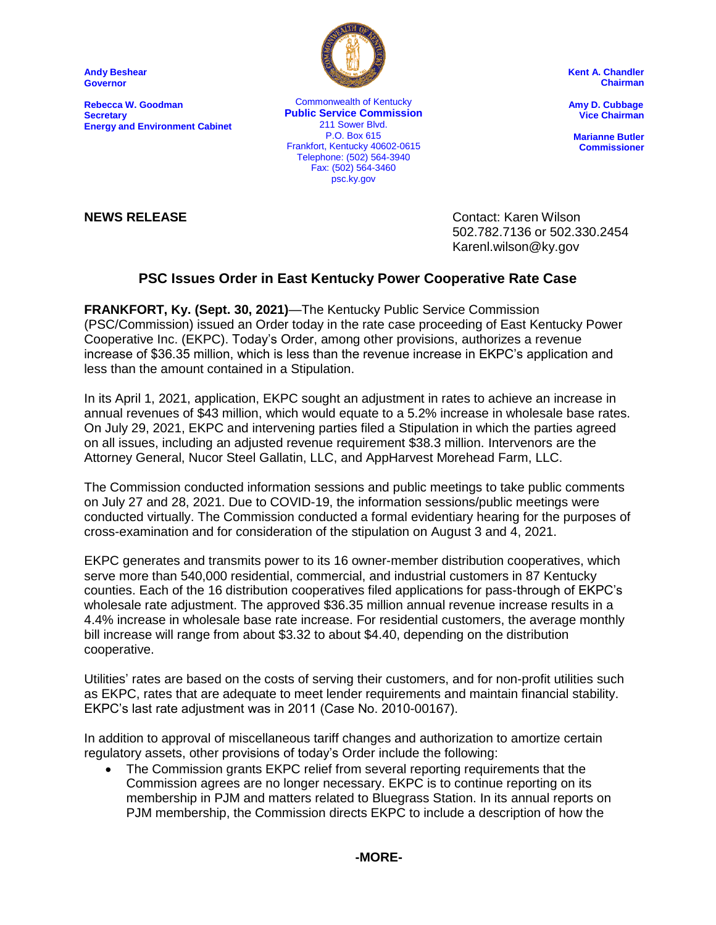**Andy Beshear Governor**

**Rebecca W. Goodman Secretary Energy and Environment Cabinet**



ankion, Kentucky 40002-00<br>Telephone: (502) 564-3940 Commonwealth of Kentucky **Public Service Commission** 211 Sower Blvd. P.O. Box 615 Frankfort, Kentucky 40602-0615 Fax: (502) 564-3460 psc.ky.gov

**Kent A. Chandler Chairman**

 **Amy D. Cubbage Vice Chairman**

**Marianne Butler Commissioner**

**NEWS RELEASE** Contact: Karen Wilson 502.782.7136 or 502.330.2454 Karenl.wilson@ky.gov

## **PSC Issues Order in East Kentucky Power Cooperative Rate Case**

**FRANKFORT, Ky. (Sept. 30, 2021)**—The Kentucky Public Service Commission (PSC/Commission) issued an Order today in the rate case proceeding of East Kentucky Power Cooperative Inc. (EKPC). Today's Order, among other provisions, authorizes a revenue increase of \$36.35 million, which is less than the revenue increase in EKPC's application and less than the amount contained in a Stipulation.

In its April 1, 2021, application, EKPC sought an adjustment in rates to achieve an increase in annual revenues of \$43 million, which would equate to a 5.2% increase in wholesale base rates. On July 29, 2021, EKPC and intervening parties filed a Stipulation in which the parties agreed on all issues, including an adjusted revenue requirement \$38.3 million. Intervenors are the Attorney General, Nucor Steel Gallatin, LLC, and AppHarvest Morehead Farm, LLC.

The Commission conducted information sessions and public meetings to take public comments on July 27 and 28, 2021. Due to COVID-19, the information sessions/public meetings were conducted virtually. The Commission conducted a formal evidentiary hearing for the purposes of cross-examination and for consideration of the stipulation on August 3 and 4, 2021.

EKPC generates and transmits power to its 16 owner-member distribution cooperatives, which serve more than 540,000 residential, commercial, and industrial customers in 87 Kentucky counties. Each of the 16 distribution cooperatives filed applications for pass-through of EKPC's wholesale rate adjustment. The approved \$36.35 million annual revenue increase results in a 4.4% increase in wholesale base rate increase. For residential customers, the average monthly bill increase will range from about \$3.32 to about \$4.40, depending on the distribution cooperative.

Utilities' rates are based on the costs of serving their customers, and for non-profit utilities such as EKPC, rates that are adequate to meet lender requirements and maintain financial stability. EKPC's last rate adjustment was in 2011 (Case No. 2010-00167).

In addition to approval of miscellaneous tariff changes and authorization to amortize certain regulatory assets, other provisions of today's Order include the following:

 The Commission grants EKPC relief from several reporting requirements that the Commission agrees are no longer necessary. EKPC is to continue reporting on its membership in PJM and matters related to Bluegrass Station. In its annual reports on PJM membership, the Commission directs EKPC to include a description of how the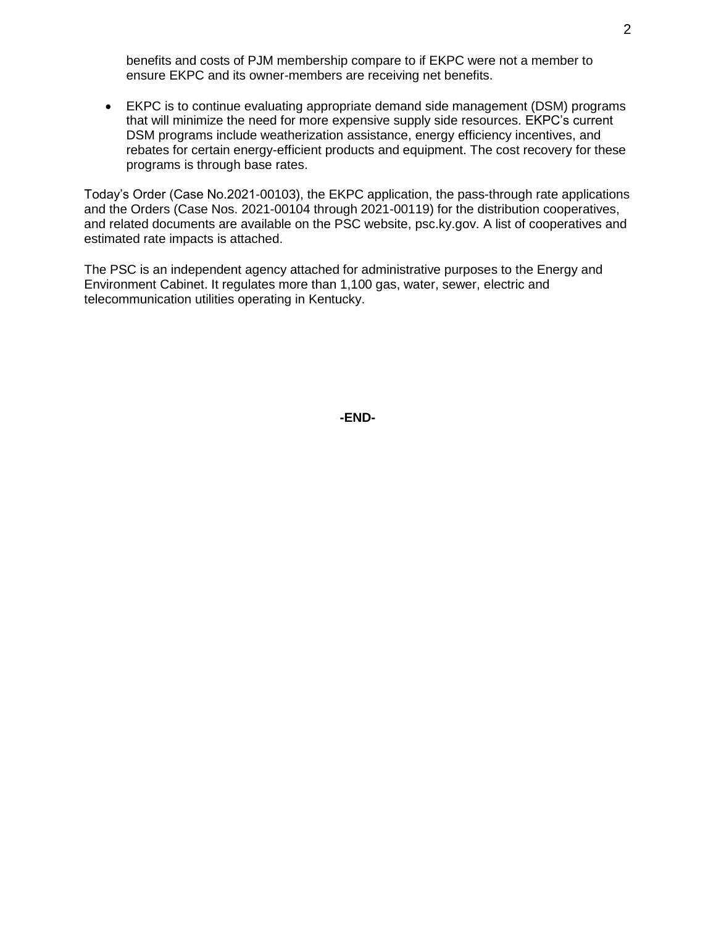benefits and costs of PJM membership compare to if EKPC were not a member to ensure EKPC and its owner-members are receiving net benefits.

 EKPC is to continue evaluating appropriate demand side management (DSM) programs that will minimize the need for more expensive supply side resources. EKPC's current DSM programs include weatherization assistance, energy efficiency incentives, and rebates for certain energy-efficient products and equipment. The cost recovery for these programs is through base rates.

Today's Order (Case No.2021-00103), the EKPC application, the pass-through rate applications and the Orders (Case Nos. 2021-00104 through 2021-00119) for the distribution cooperatives, and related documents are available on the PSC website, psc.ky.gov. A list of cooperatives and estimated rate impacts is attached.

The PSC is an independent agency attached for administrative purposes to the Energy and Environment Cabinet. It regulates more than 1,100 gas, water, sewer, electric and telecommunication utilities operating in Kentucky.

**-END-**